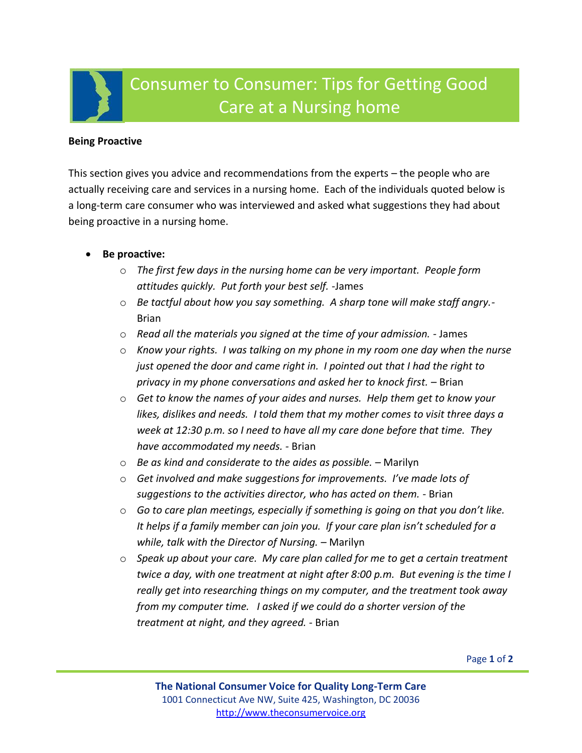

## **Being Proactive**

This section gives you advice and recommendations from the experts – the people who are actually receiving care and services in a nursing home. Each of the individuals quoted below is a long-term care consumer who was interviewed and asked what suggestions they had about being proactive in a nursing home.

- **Be proactive:**
	- o *The first few days in the nursing home can be very important. People form attitudes quickly. Put forth your best self. -*James
	- o *Be tactful about how you say something. A sharp tone will make staff angry.-* Brian
	- o *Read all the materials you signed at the time of your admission. -* James
	- o *Know your rights. I was talking on my phone in my room one day when the nurse just opened the door and came right in. I pointed out that I had the right to privacy in my phone conversations and asked her to knock first. –* Brian
	- o *Get to know the names of your aides and nurses. Help them get to know your likes, dislikes and needs. I told them that my mother comes to visit three days a week at 12:30 p.m. so I need to have all my care done before that time. They have accommodated my needs. -* Brian
	- o *Be as kind and considerate to the aides as possible. –* Marilyn
	- o *Get involved and make suggestions for improvements. I've made lots of suggestions to the activities director, who has acted on them.* - Brian
	- o *Go to care plan meetings, especially if something is going on that you don't like. It helps if a family member can join you. If your care plan isn't scheduled for a while, talk with the Director of Nursing. –* Marilyn
	- o *Speak up about your care. My care plan called for me to get a certain treatment twice a day, with one treatment at night after 8:00 p.m. But evening is the time I really get into researching things on my computer, and the treatment took away from my computer time. I asked if we could do a shorter version of the treatment at night, and they agreed. -* Brian

Page **1** of **2**